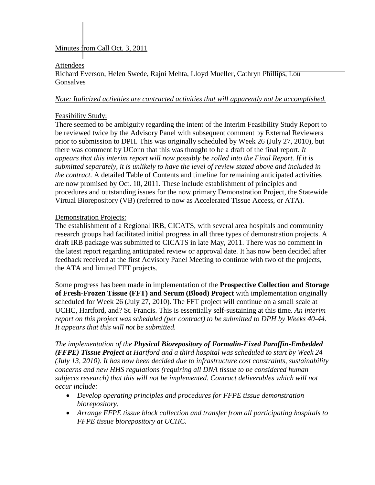## Minutes from Call Oct. 3, 2011

#### Attendees

[Richard Everson,](mailto:Richard%20Everson) [Helen Swede,](mailto:Helen%20Swede) [Rajni Mehta,](mailto:Rajni%20Mehta) Lloyd Mueller, Cathryn Phillips, Lou **Gonsalves** 

### *Note: Italicized activities are contracted activities that will apparently not be accomplished.*

#### Feasibility Study:

There seemed to be ambiguity regarding the intent of the Interim Feasibility Study Report to be reviewed twice by the Advisory Panel with subsequent comment by External Reviewers prior to submission to DPH. This was originally scheduled by Week 26 (July 27, 2010), but there was comment by UConn that this was thought to be a draft of the final report. *It appears that this interim report will now possibly be rolled into the Final Report. If it is submitted separately, it is unlikely to have the level of review stated above and included in the contract.* A detailed Table of Contents and timeline for remaining anticipated activities are now promised by Oct. 10, 2011. These include establishment of principles and procedures and outstanding issues for the now primary Demonstration Project, the Statewide Virtual Biorepository (VB) (referred to now as Accelerated Tissue Access, or ATA).

#### Demonstration Projects:

The establishment of a Regional IRB, CICATS, with several area hospitals and community research groups had facilitated initial progress in all three types of demonstration projects. A draft IRB package was submitted to CICATS in late May, 2011. There was no comment in the latest report regarding anticipated review or approval date. It has now been decided after feedback received at the first Advisory Panel Meeting to continue with two of the projects, the ATA and limited FFT projects.

Some progress has been made in implementation of the **Prospective Collection and Storage of Fresh-Frozen Tissue (FFT) and Serum (Blood) Project** with implementation originally scheduled for Week 26 (July 27, 2010). The FFT project will continue on a small scale at UCHC, Hartford, and? St. Francis. This is essentially self-sustaining at this time. *An interim report on this project was scheduled (per contract) to be submitted to DPH by Weeks 40-44. It appears that this will not be submitted.*

*The implementation of the Physical Biorepository of Formalin-Fixed Paraffin-Embedded (FFPE) Tissue Project at Hartford and a third hospital was scheduled to start by Week 24 (July 13, 2010). It has now been decided due to infrastructure cost constraints, sustainability concerns and new HHS regulations (requiring all DNA tissue to be considered human subjects research) that this will not be implemented. Contract deliverables which will not occur include:*

- *Develop operating principles and procedures for FFPE tissue demonstration biorepository.*
- *Arrange FFPE tissue block collection and transfer from all participating hospitals to FFPE tissue biorepository at UCHC.*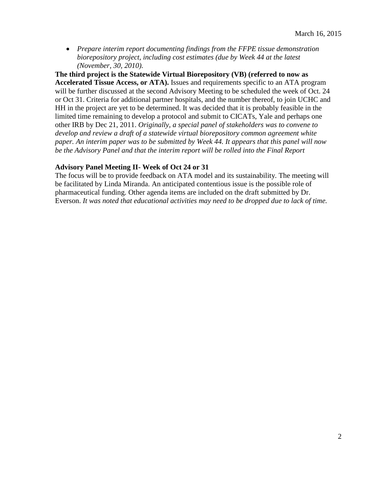• *Prepare interim report documenting findings from the FFPE tissue demonstration biorepository project, including cost estimates (due by Week 44 at the latest (November, 30, 2010).*

**The third project is the Statewide Virtual Biorepository (VB) (referred to now as Accelerated Tissue Access, or ATA).** Issues and requirements specific to an ATA program will be further discussed at the second Advisory Meeting to be scheduled the week of Oct. 24 or Oct 31. Criteria for additional partner hospitals, and the number thereof, to join UCHC and HH in the project are yet to be determined. It was decided that it is probably feasible in the limited time remaining to develop a protocol and submit to CICATs, Yale and perhaps one other IRB by Dec 21, 2011. *Originally, a special panel of stakeholders was to convene to develop and review a draft of a statewide virtual biorepository common agreement white paper. An interim paper was to be submitted by Week 44. It appears that this panel will now be the Advisory Panel and that the interim report will be rolled into the Final Report*

#### **Advisory Panel Meeting II- Week of Oct 24 or 31**

The focus will be to provide feedback on ATA model and its sustainability. The meeting will be facilitated by Linda Miranda. An anticipated contentious issue is the possible role of pharmaceutical funding. Other agenda items are included on the draft submitted by Dr. Everson. *It was noted that educational activities may need to be dropped due to lack of time.*